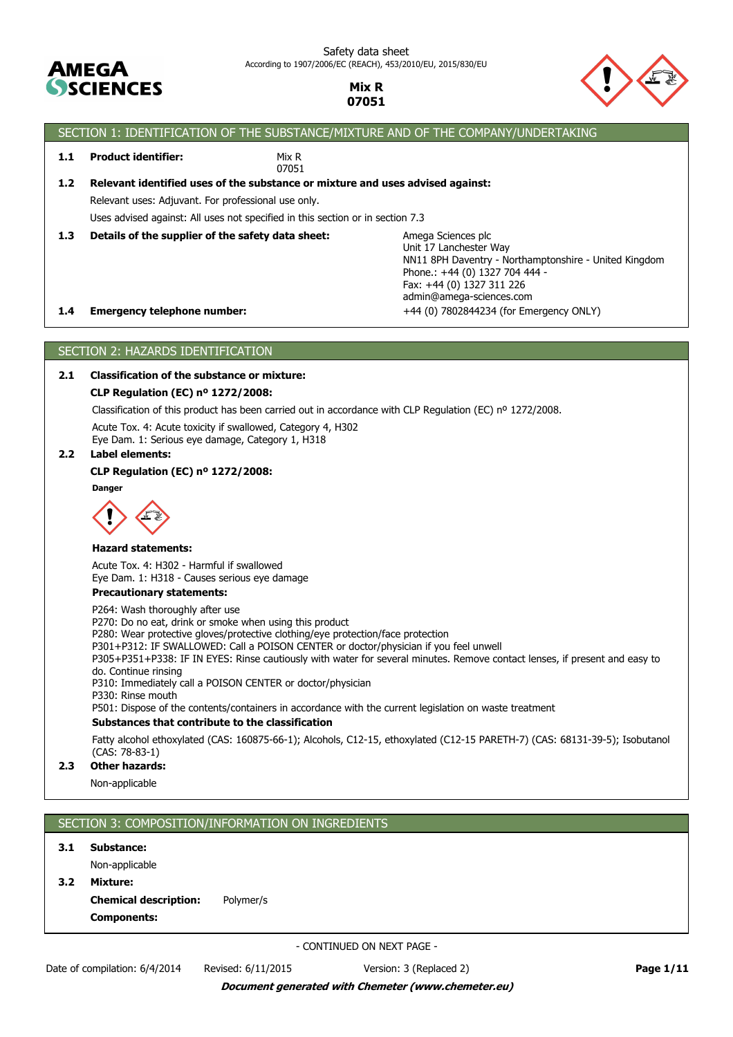



# SECTION 1: IDENTIFICATION OF THE SUBSTANCE/MIXTURE AND OF THE COMPANY/UNDERTAKING

**1.1 Product identifier:**

Mix R 07051

Uses advised against: All uses not specified in this section or in section 7.3 Relevant uses: Adjuvant. For professional use only. **1.2 Relevant identified uses of the substance or mixture and uses advised against:**

**1.3 Details of the supplier of the safety data sheet:**

**1.4 Emergency telephone number:**  $+44(0)$  7802844234 (for Emergency ONLY) Amega Sciences plc Unit 17 Lanchester Way NN11 8PH Daventry - Northamptonshire - United Kingdom Phone.: +44 (0) 1327 704 444 - Fax: +44 (0) 1327 311 226 admin@amega-sciences.com

# SECTION 2: HAZARDS IDENTIFICATION

# **2.1 Classification of the substance or mixture:**

# **CLP Regulation (EC) nº 1272/2008:**

Classification of this product has been carried out in accordance with CLP Regulation (EC) nº 1272/2008.

Acute Tox. 4: Acute toxicity if swallowed, Category 4, H302 Eye Dam. 1: Serious eye damage, Category 1, H318

## **2.2 Label elements:**

## **CLP Regulation (EC) nº 1272/2008:**

**Danger**



#### **Hazard statements:**

Acute Tox. 4: H302 - Harmful if swallowed Eye Dam. 1: H318 - Causes serious eye damage

## **Precautionary statements:**

P264: Wash thoroughly after use

P270: Do no eat, drink or smoke when using this product

P280: Wear protective gloves/protective clothing/eye protection/face protection

P301+P312: IF SWALLOWED: Call a POISON CENTER or doctor/physician if you feel unwell

P305+P351+P338: IF IN EYES: Rinse cautiously with water for several minutes. Remove contact lenses, if present and easy to do. Continue rinsing

P310: Immediately call a POISON CENTER or doctor/physician

P330: Rinse mouth

P501: Dispose of the contents/containers in accordance with the current legislation on waste treatment

# **Substances that contribute to the classification**

Fatty alcohol ethoxylated (CAS: 160875-66-1); Alcohols, C12-15, ethoxylated (C12-15 PARETH-7) (CAS: 68131-39-5); Isobutanol (CAS: 78-83-1)

# **2.3 Other hazards:**

Non-applicable

# SECTION 3: COMPOSITION/INFORMATION ON INGREDIENTS

**3.1 Substance:**

Non-applicable

**Components: Chemical description:** Polymer/s **3.2 Mixture:**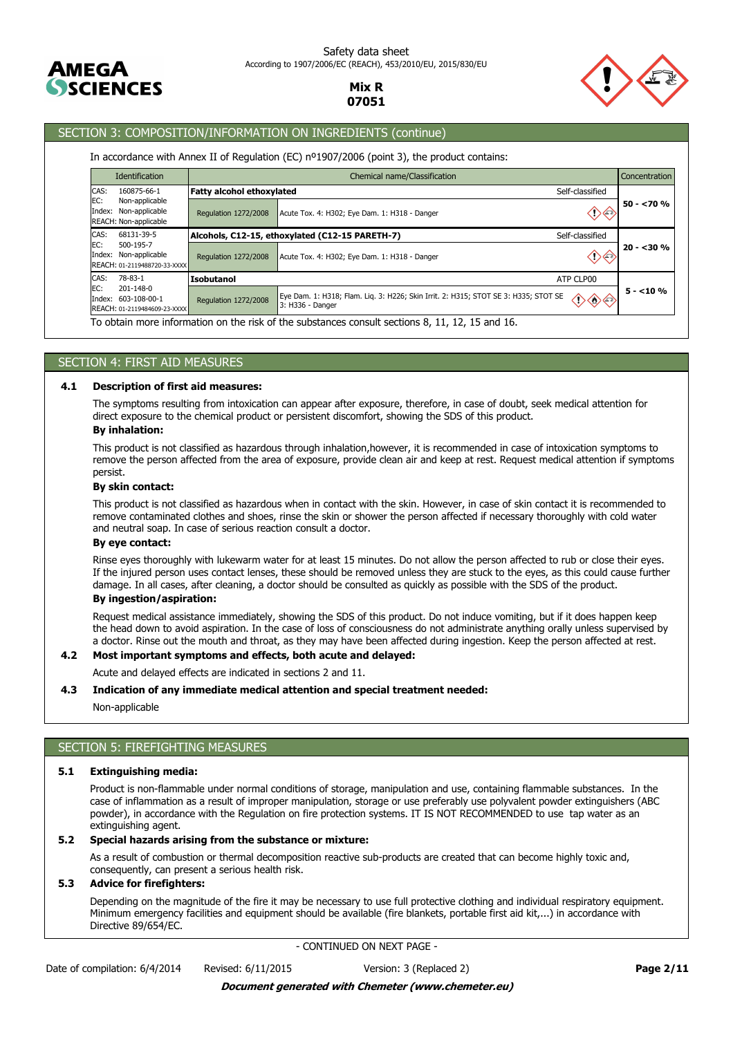



# SECTION 3: COMPOSITION/INFORMATION ON INGREDIENTS (continue)

## In accordance with Annex II of Regulation (EC) nº1907/2006 (point 3), the product contains:

|                                                                           | <b>Identification</b>                                                  |                                               | Chemical name/Classification                                                                                   | Concentration |
|---------------------------------------------------------------------------|------------------------------------------------------------------------|-----------------------------------------------|----------------------------------------------------------------------------------------------------------------|---------------|
| CAS:<br>160875-66-1                                                       |                                                                        | <b>Fatty alcohol ethoxylated</b>              | Self-classified                                                                                                |               |
| EC:                                                                       | Non-applicable<br>Index: Non-applicable<br>REACH: Non-applicable       | <b>Regulation 1272/2008</b>                   | ↷⇦<br>Acute Tox. 4: H302; Eye Dam. 1: H318 - Danger                                                            | $50 - 270%$   |
| CAS:                                                                      | 68131-39-5                                                             |                                               | Alcohols, C12-15, ethoxylated (C12-15 PARETH-7)<br>Self-classified                                             |               |
| EC:<br>500-195-7<br>Index: Non-applicable<br>REACH: 01-2119488720-33-XXXX | Regulation 1272/2008                                                   | Acute Tox. 4: H302; Eye Dam. 1: H318 - Danger | $20 - 30%$                                                                                                     |               |
| CAS:                                                                      | 78-83-1                                                                | Isobutanol                                    | ATP CLP00                                                                                                      |               |
| EC:                                                                       | $201 - 148 - 0$<br>Index: 603-108-00-1<br>REACH: 01-2119484609-23-XXXX | Regulation 1272/2008                          | Eye Dam. 1: H318; Flam. Liq. 3: H226; Skin Irrit. 2: H315; STOT SE 3: H335; STOT SE<br>◆◆◆<br>3: H336 - Danger | $5 - 10%$     |
|                                                                           |                                                                        |                                               | To obtain more information on the risk of the substances consult sections 8, 11, 12, 15 and 16.                |               |

## SECTION 4: FIRST AID MEASURES

## **4.1 Description of first aid measures:**

The symptoms resulting from intoxication can appear after exposure, therefore, in case of doubt, seek medical attention for direct exposure to the chemical product or persistent discomfort, showing the SDS of this product.

# **By inhalation:**

This product is not classified as hazardous through inhalation,however, it is recommended in case of intoxication symptoms to remove the person affected from the area of exposure, provide clean air and keep at rest. Request medical attention if symptoms persist.

#### **By skin contact:**

This product is not classified as hazardous when in contact with the skin. However, in case of skin contact it is recommended to remove contaminated clothes and shoes, rinse the skin or shower the person affected if necessary thoroughly with cold water and neutral soap. In case of serious reaction consult a doctor.

#### **By eye contact:**

Rinse eyes thoroughly with lukewarm water for at least 15 minutes. Do not allow the person affected to rub or close their eyes. If the injured person uses contact lenses, these should be removed unless they are stuck to the eyes, as this could cause further damage. In all cases, after cleaning, a doctor should be consulted as quickly as possible with the SDS of the product.

# **By ingestion/aspiration:**

Request medical assistance immediately, showing the SDS of this product. Do not induce vomiting, but if it does happen keep the head down to avoid aspiration. In the case of loss of consciousness do not administrate anything orally unless supervised by a doctor. Rinse out the mouth and throat, as they may have been affected during ingestion. Keep the person affected at rest.

## **4.2 Most important symptoms and effects, both acute and delayed:**

Acute and delayed effects are indicated in sections 2 and 11.

#### **4.3 Indication of any immediate medical attention and special treatment needed:**

Non-applicable

# SECTION 5: FIREFIGHTING MEASURES

## **5.1 Extinguishing media:**

Product is non-flammable under normal conditions of storage, manipulation and use, containing flammable substances. In the case of inflammation as a result of improper manipulation, storage or use preferably use polyvalent powder extinguishers (ABC powder), in accordance with the Regulation on fire protection systems. IT IS NOT RECOMMENDED to use tap water as an extinguishing agent.

## **5.2 Special hazards arising from the substance or mixture:**

As a result of combustion or thermal decomposition reactive sub-products are created that can become highly toxic and, consequently, can present a serious health risk.

## **5.3 Advice for firefighters:**

Depending on the magnitude of the fire it may be necessary to use full protective clothing and individual respiratory equipment. Minimum emergency facilities and equipment should be available (fire blankets, portable first aid kit,...) in accordance with Directive 89/654/EC.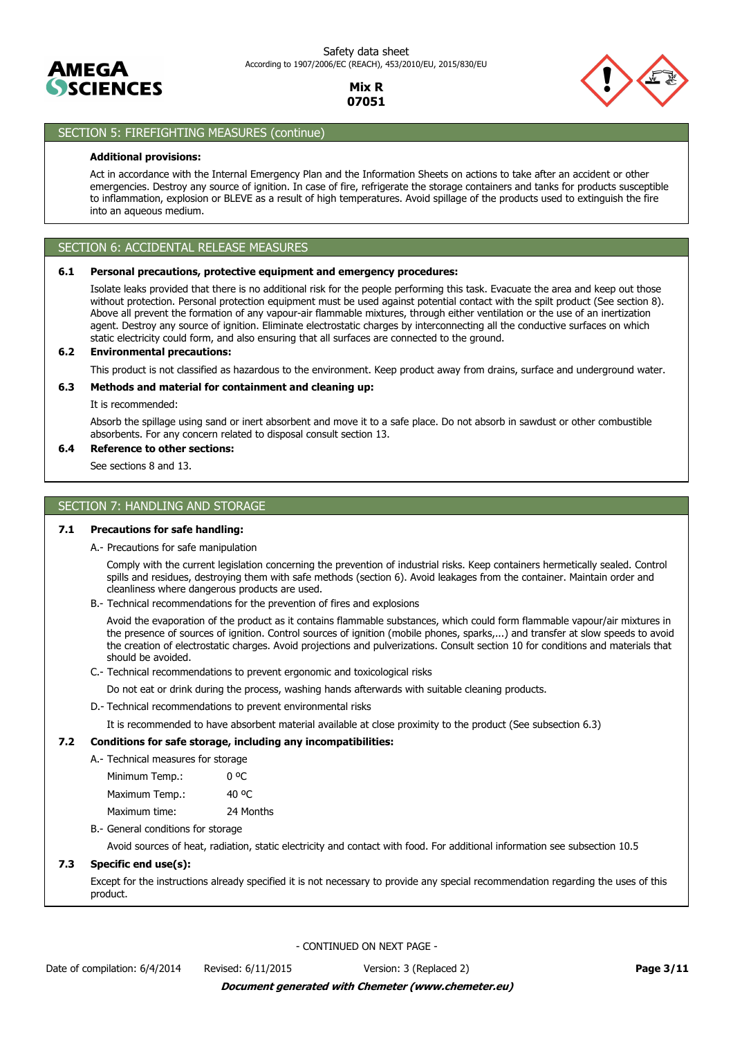



# SECTION 5: FIREFIGHTING MEASURES (continue)

## **Additional provisions:**

Act in accordance with the Internal Emergency Plan and the Information Sheets on actions to take after an accident or other emergencies. Destroy any source of ignition. In case of fire, refrigerate the storage containers and tanks for products susceptible to inflammation, explosion or BLEVE as a result of high temperatures. Avoid spillage of the products used to extinguish the fire into an aqueous medium.

## SECTION 6: ACCIDENTAL RELEASE MEASURES

## **6.1 Personal precautions, protective equipment and emergency procedures:**

Isolate leaks provided that there is no additional risk for the people performing this task. Evacuate the area and keep out those without protection. Personal protection equipment must be used against potential contact with the spilt product (See section 8). Above all prevent the formation of any vapour-air flammable mixtures, through either ventilation or the use of an inertization agent. Destroy any source of ignition. Eliminate electrostatic charges by interconnecting all the conductive surfaces on which static electricity could form, and also ensuring that all surfaces are connected to the ground.

## **6.2 Environmental precautions:**

This product is not classified as hazardous to the environment. Keep product away from drains, surface and underground water.

## **6.3 Methods and material for containment and cleaning up:**

It is recommended:

Absorb the spillage using sand or inert absorbent and move it to a safe place. Do not absorb in sawdust or other combustible absorbents. For any concern related to disposal consult section 13.

# **6.4 Reference to other sections:**

See sections 8 and 13.

# SECTION 7: HANDLING AND STORAGE

## **7.1 Precautions for safe handling:**

A.- Precautions for safe manipulation

Comply with the current legislation concerning the prevention of industrial risks. Keep containers hermetically sealed. Control spills and residues, destroying them with safe methods (section 6). Avoid leakages from the container. Maintain order and cleanliness where dangerous products are used.

B.- Technical recommendations for the prevention of fires and explosions

Avoid the evaporation of the product as it contains flammable substances, which could form flammable vapour/air mixtures in the presence of sources of ignition. Control sources of ignition (mobile phones, sparks,...) and transfer at slow speeds to avoid the creation of electrostatic charges. Avoid projections and pulverizations. Consult section 10 for conditions and materials that should be avoided.

C.- Technical recommendations to prevent ergonomic and toxicological risks

Do not eat or drink during the process, washing hands afterwards with suitable cleaning products.

D.- Technical recommendations to prevent environmental risks

It is recommended to have absorbent material available at close proximity to the product (See subsection 6.3)

## **7.2 Conditions for safe storage, including any incompatibilities:**

A.- Technical measures for storage

| Minimum Temp.: |           |
|----------------|-----------|
| Maximum Temp.: | 40 °C     |
| Maximum time:  | 24 Months |

B.- General conditions for storage

Avoid sources of heat, radiation, static electricity and contact with food. For additional information see subsection 10.5

## **7.3 Specific end use(s):**

Except for the instructions already specified it is not necessary to provide any special recommendation regarding the uses of this product.

- CONTINUED ON NEXT PAGE -

Date of compilation: 6/4/2014 Revised: 6/11/2015 Version: 3 (Replaced 2) **Page 3/11**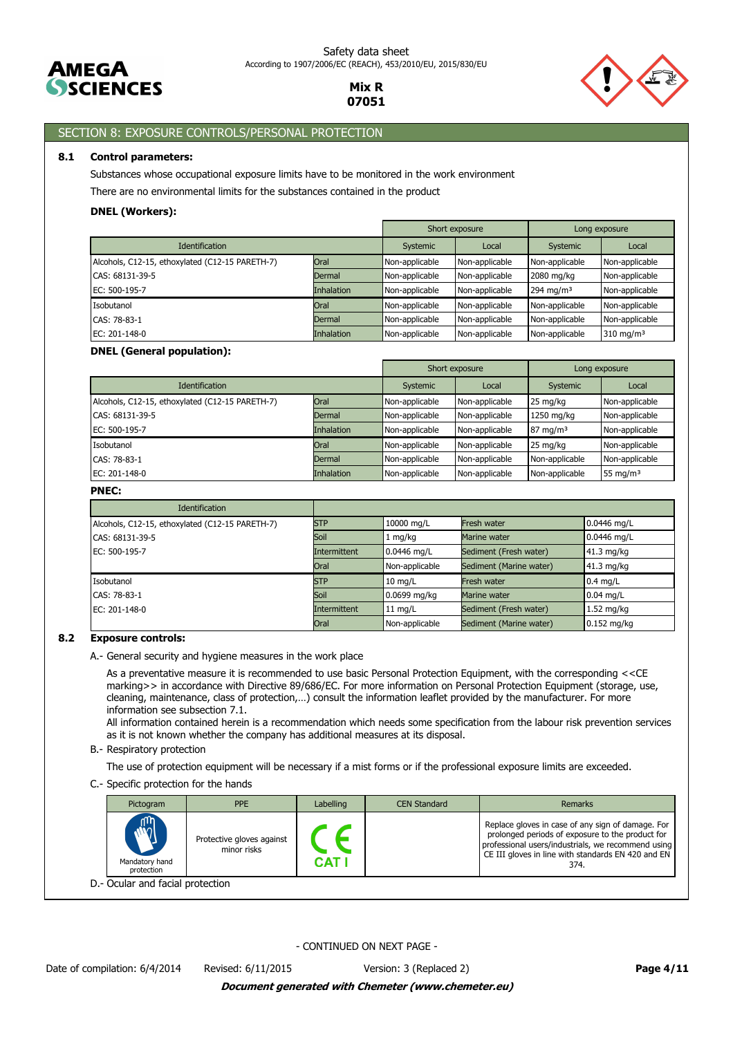



# SECTION 8: EXPOSURE CONTROLS/PERSONAL PROTECTION

## **8.1 Control parameters:**

Substances whose occupational exposure limits have to be monitored in the work environment

There are no environmental limits for the substances contained in the product

# **DNEL (Workers):**

|                                                 |                   | Short exposure |                | Long exposure  |                         |
|-------------------------------------------------|-------------------|----------------|----------------|----------------|-------------------------|
| <b>Identification</b>                           |                   | Systemic       | Local          | Systemic       | Local                   |
| Alcohols, C12-15, ethoxylated (C12-15 PARETH-7) | Oral              | Non-applicable | Non-applicable | Non-applicable | Non-applicable          |
| CAS: 68131-39-5                                 | Dermal            | Non-applicable | Non-applicable | 2080 mg/kg     | Non-applicable          |
| EC: 500-195-7                                   | <b>Inhalation</b> | Non-applicable | Non-applicable | 294 mg/m $3$   | Non-applicable          |
| Isobutanol                                      | Oral              | Non-applicable | Non-applicable | Non-applicable | Non-applicable          |
| CAS: 78-83-1                                    | Dermal            | Non-applicable | Non-applicable | Non-applicable | Non-applicable          |
| EC: 201-148-0                                   | <b>Inhalation</b> | Non-applicable | Non-applicable | Non-applicable | $310$ mg/m <sup>3</sup> |

## **DNEL (General population):**

|                                                 |                   | Short exposure |                | Long exposure       |                |
|-------------------------------------------------|-------------------|----------------|----------------|---------------------|----------------|
| <b>Identification</b>                           |                   | Systemic       | Local          | Systemic            | Local          |
| Alcohols, C12-15, ethoxylated (C12-15 PARETH-7) | Oral              | Non-applicable | Non-applicable | 25 mg/kg            | Non-applicable |
| CAS: 68131-39-5                                 | Dermal            | Non-applicable | Non-applicable | 1250 mg/kg          | Non-applicable |
| EC: 500-195-7                                   | <b>Inhalation</b> | Non-applicable | Non-applicable | $87 \text{ mg/m}^3$ | Non-applicable |
| Isobutanol                                      | Oral              | Non-applicable | Non-applicable | 25 mg/kg            | Non-applicable |
| CAS: 78-83-1                                    | Dermal            | Non-applicable | Non-applicable | Non-applicable      | Non-applicable |
| EC: 201-148-0                                   | Inhalation        | Non-applicable | Non-applicable | Non-applicable      | 55 mg/m $3$    |

## **PNEC:**

| Identification                                  |              |                   |                         |               |
|-------------------------------------------------|--------------|-------------------|-------------------------|---------------|
| Alcohols, C12-15, ethoxylated (C12-15 PARETH-7) | <b>STP</b>   | 10000 mg/L        | Fresh water             | $0.0446$ mg/L |
| CAS: 68131-39-5                                 | Soil         | $1 \text{ mg/kg}$ | Marine water            | 0.0446 mg/L   |
| EC: 500-195-7                                   | Intermittent | 0.0446 mg/L       | Sediment (Fresh water)  | 41.3 mg/kg    |
|                                                 | Oral         | Non-applicable    | Sediment (Marine water) | $41.3$ mg/kg  |
| Isobutanol                                      | <b>STP</b>   | $10 \text{ mg/L}$ | Fresh water             | $0.4$ mg/L    |
| CAS: 78-83-1                                    | Soil         | 0.0699 mg/kg      | Marine water            | $0.04$ mg/L   |
| EC: 201-148-0                                   | Intermittent | $11$ mg/L         | Sediment (Fresh water)  | $1.52$ mg/kg  |
|                                                 | Oral         | Non-applicable    | Sediment (Marine water) | $0.152$ mg/kg |

## **8.2 Exposure controls:**

A.- General security and hygiene measures in the work place

As a preventative measure it is recommended to use basic Personal Protection Equipment, with the corresponding <<CE marking>> in accordance with Directive 89/686/EC. For more information on Personal Protection Equipment (storage, use, cleaning, maintenance, class of protection,…) consult the information leaflet provided by the manufacturer. For more information see subsection 7.1.

All information contained herein is a recommendation which needs some specification from the labour risk prevention services as it is not known whether the company has additional measures at its disposal.

#### B.- Respiratory protection

The use of protection equipment will be necessary if a mist forms or if the professional exposure limits are exceeded.

C.- Specific protection for the hands

| Pictogram                                               | <b>PPE</b>                               | Labelling    | <b>CEN Standard</b> | <b>Remarks</b>                                                                                                                                                                                                    |
|---------------------------------------------------------|------------------------------------------|--------------|---------------------|-------------------------------------------------------------------------------------------------------------------------------------------------------------------------------------------------------------------|
| m<br>$\dot{\mathbf{w}}$<br>Mandatory hand<br>protection | Protective gloves against<br>minor risks | <b>CAT I</b> |                     | Replace gloves in case of any sign of damage. For<br>prolonged periods of exposure to the product for<br>professional users/industrials, we recommend using<br>CE III gloves in line with standards EN 420 and EN |
| - Ocular and facial protection                          |                                          |              |                     |                                                                                                                                                                                                                   |

D.- Ocular and facial protection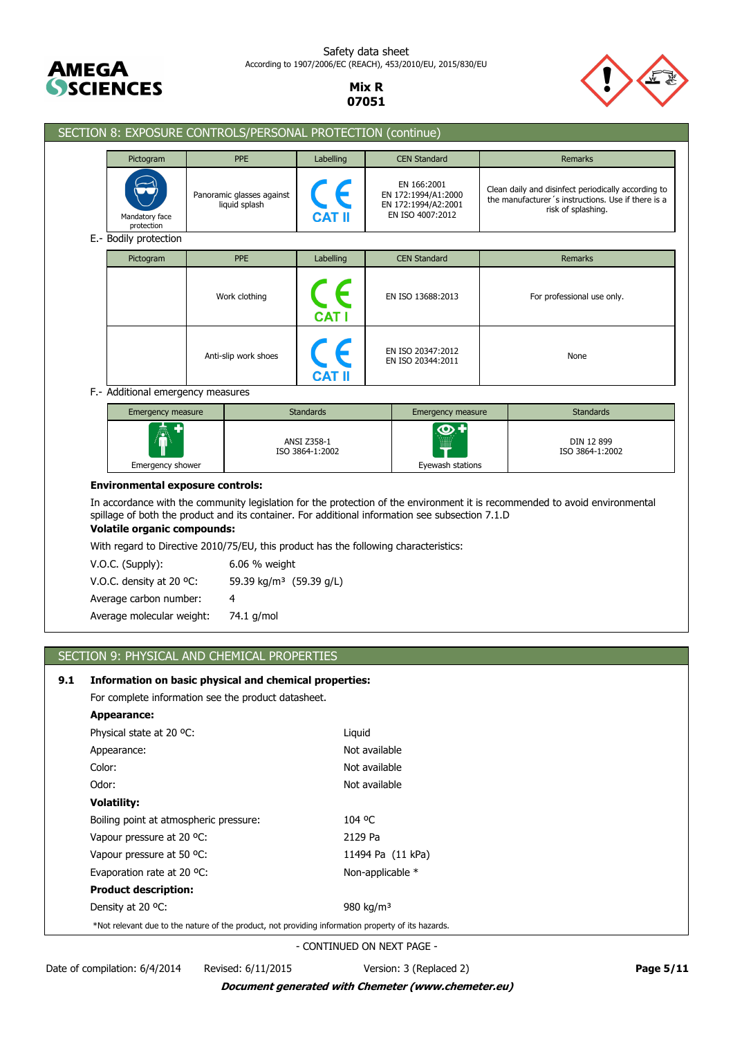

Safety data sheet According to 1907/2006/EC (REACH), 453/2010/EU, 2015/830/EU

> **Mix R 07051**



| SECTION 8: EXPOSURE CONTROLS/PERSONAL PROTECTION (continue)                                                                                                                                                                                                          |                                                                                      |                                       |                                        |                                                                               |      |                                                                                                                                 |
|----------------------------------------------------------------------------------------------------------------------------------------------------------------------------------------------------------------------------------------------------------------------|--------------------------------------------------------------------------------------|---------------------------------------|----------------------------------------|-------------------------------------------------------------------------------|------|---------------------------------------------------------------------------------------------------------------------------------|
| Pictogram                                                                                                                                                                                                                                                            | <b>PPE</b>                                                                           | Labelling                             |                                        | <b>CEN Standard</b>                                                           |      | <b>Remarks</b>                                                                                                                  |
| Mandatory face<br>protection                                                                                                                                                                                                                                         | Panoramic glasses against<br>liquid splash                                           |                                       |                                        | EN 166:2001<br>EN 172:1994/A1:2000<br>EN 172:1994/A2:2001<br>EN ISO 4007:2012 |      | Clean daily and disinfect periodically according to<br>the manufacturer's instructions. Use if there is a<br>risk of splashing. |
| E.- Bodily protection                                                                                                                                                                                                                                                |                                                                                      |                                       |                                        |                                                                               |      |                                                                                                                                 |
| Pictogram                                                                                                                                                                                                                                                            | <b>PPE</b>                                                                           | Labelling                             |                                        | <b>CEN Standard</b>                                                           |      | Remarks                                                                                                                         |
|                                                                                                                                                                                                                                                                      | Work clothing                                                                        | <b>CAT I</b>                          |                                        | EN ISO 13688:2013                                                             |      | For professional use only.                                                                                                      |
| Anti-slip work shoes                                                                                                                                                                                                                                                 |                                                                                      |                                       | EN ISO 20347:2012<br>EN ISO 20344:2011 |                                                                               | None |                                                                                                                                 |
| F.- Additional emergency measures                                                                                                                                                                                                                                    |                                                                                      |                                       |                                        |                                                                               |      |                                                                                                                                 |
| Emergency measure                                                                                                                                                                                                                                                    |                                                                                      | <b>Standards</b>                      |                                        | Emergency measure                                                             |      | <b>Standards</b>                                                                                                                |
| Emergency shower                                                                                                                                                                                                                                                     |                                                                                      | <b>ANSI Z358-1</b><br>ISO 3864-1:2002 | Eyewash stations                       |                                                                               |      | DIN 12 899<br>ISO 3864-1:2002                                                                                                   |
| <b>Environmental exposure controls:</b>                                                                                                                                                                                                                              |                                                                                      |                                       |                                        |                                                                               |      |                                                                                                                                 |
| In accordance with the community legislation for the protection of the environment it is recommended to avoid environmental<br>spillage of both the product and its container. For additional information see subsection 7.1.D<br><b>Volatile organic compounds:</b> |                                                                                      |                                       |                                        |                                                                               |      |                                                                                                                                 |
|                                                                                                                                                                                                                                                                      | With regard to Directive 2010/75/EU, this product has the following characteristics: |                                       |                                        |                                                                               |      |                                                                                                                                 |
| V.O.C. (Supply):                                                                                                                                                                                                                                                     | 6.06 % weight                                                                        |                                       |                                        |                                                                               |      |                                                                                                                                 |
| V.O.C. density at 20 °C:                                                                                                                                                                                                                                             |                                                                                      | 59.39 kg/m <sup>3</sup> (59.39 g/L)   |                                        |                                                                               |      |                                                                                                                                 |
| Average carbon number:                                                                                                                                                                                                                                               | 4                                                                                    |                                       |                                        |                                                                               |      |                                                                                                                                 |
| Average molecular weight:                                                                                                                                                                                                                                            | 74.1 g/mol                                                                           |                                       |                                        |                                                                               |      |                                                                                                                                 |
|                                                                                                                                                                                                                                                                      |                                                                                      |                                       |                                        |                                                                               |      |                                                                                                                                 |

# SECTION 9: PHYSICAL AND CHEMICAL PROPERTIES

# **9.1 Information on basic physical and chemical properties:**

For complete information see the product datasheet.

| Appearance:                                                                                        |                       |  |  |
|----------------------------------------------------------------------------------------------------|-----------------------|--|--|
| Physical state at 20 °C:                                                                           | Liquid                |  |  |
| Appearance:                                                                                        | Not available         |  |  |
| Color:                                                                                             | Not available         |  |  |
| Odor:                                                                                              | Not available         |  |  |
| <b>Volatility:</b>                                                                                 |                       |  |  |
| Boiling point at atmospheric pressure:                                                             | 104 °C                |  |  |
| Vapour pressure at 20 °C.                                                                          | 2129 Pa               |  |  |
| Vapour pressure at 50 °C.                                                                          | 11494 Pa (11 kPa)     |  |  |
| Evaporation rate at 20 °C:                                                                         | Non-applicable $*$    |  |  |
| <b>Product description:</b>                                                                        |                       |  |  |
| Density at 20 °C:                                                                                  | 980 kg/m <sup>3</sup> |  |  |
| *Not relevant due to the nature of the product, not providing information property of its hazards. |                       |  |  |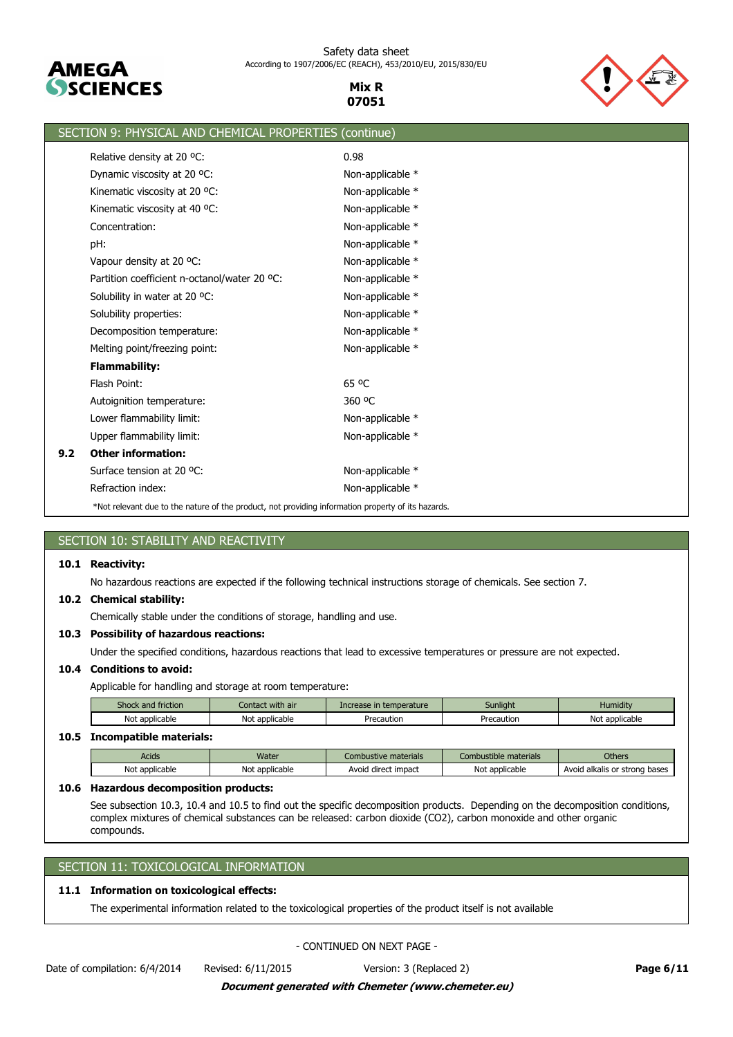

Safety data sheet According to 1907/2006/EC (REACH), 453/2010/EU, 2015/830/EU

> **Mix R 07051**



|     | SECTION 9: PHYSICAL AND CHEMICAL PROPERTIES (continue)                                             |                  |
|-----|----------------------------------------------------------------------------------------------------|------------------|
|     | Relative density at 20 °C:                                                                         | 0.98             |
|     | Dynamic viscosity at 20 °C:                                                                        | Non-applicable * |
|     | Kinematic viscosity at 20 °C:                                                                      | Non-applicable * |
|     | Kinematic viscosity at 40 °C:                                                                      | Non-applicable * |
|     | Concentration:                                                                                     | Non-applicable * |
|     | pH:                                                                                                | Non-applicable * |
|     | Vapour density at 20 °C:                                                                           | Non-applicable * |
|     | Partition coefficient n-octanol/water 20 °C:                                                       | Non-applicable * |
|     | Solubility in water at 20 °C:                                                                      | Non-applicable * |
|     | Solubility properties:                                                                             | Non-applicable * |
|     | Decomposition temperature:                                                                         | Non-applicable * |
|     | Melting point/freezing point:                                                                      | Non-applicable * |
|     | <b>Flammability:</b>                                                                               |                  |
|     | Flash Point:                                                                                       | 65 °C            |
|     | Autoignition temperature:                                                                          | 360 °C           |
|     | Lower flammability limit:                                                                          | Non-applicable * |
|     | Upper flammability limit:                                                                          | Non-applicable * |
| 9.2 | <b>Other information:</b>                                                                          |                  |
|     | Surface tension at 20 °C:                                                                          | Non-applicable * |
|     | Refraction index:                                                                                  | Non-applicable * |
|     | *Not relevant due to the nature of the product, not providing information property of its hazards. |                  |
|     |                                                                                                    |                  |

# SECTION 10: STABILITY AND REACTIVITY

# **10.1 Reactivity:**

No hazardous reactions are expected if the following technical instructions storage of chemicals. See section 7.

# **10.2 Chemical stability:**

Chemically stable under the conditions of storage, handling and use.

# **10.3 Possibility of hazardous reactions:**

Under the specified conditions, hazardous reactions that lead to excessive temperatures or pressure are not expected.

# **10.4 Conditions to avoid:**

Applicable for handling and storage at room temperature:

| Shock and friction | Contact with air | Increase in temperature | <b>Sunlight</b> | Humidity       |
|--------------------|------------------|-------------------------|-----------------|----------------|
| Not applicable     | Not applicable   | Precaution              | Precaution      | Not applicable |
|                    |                  |                         |                 |                |

## **10.5 Incompatible materials:**

| Acids          | Water                | nbustive materials<br><b>On</b> | Combustible materials | <b>Others</b>                 |
|----------------|----------------------|---------------------------------|-----------------------|-------------------------------|
| Not applicable | Nl∩t<br>: applicable | direct impact<br>Avoid          | Not applicable        | Avoid alkalis or strong bases |

## **10.6 Hazardous decomposition products:**

See subsection 10.3, 10.4 and 10.5 to find out the specific decomposition products. Depending on the decomposition conditions, complex mixtures of chemical substances can be released: carbon dioxide (CO2), carbon monoxide and other organic compounds.

# SECTION 11: TOXICOLOGICAL INFORMATION

# **11.1 Information on toxicological effects:**

The experimental information related to the toxicological properties of the product itself is not available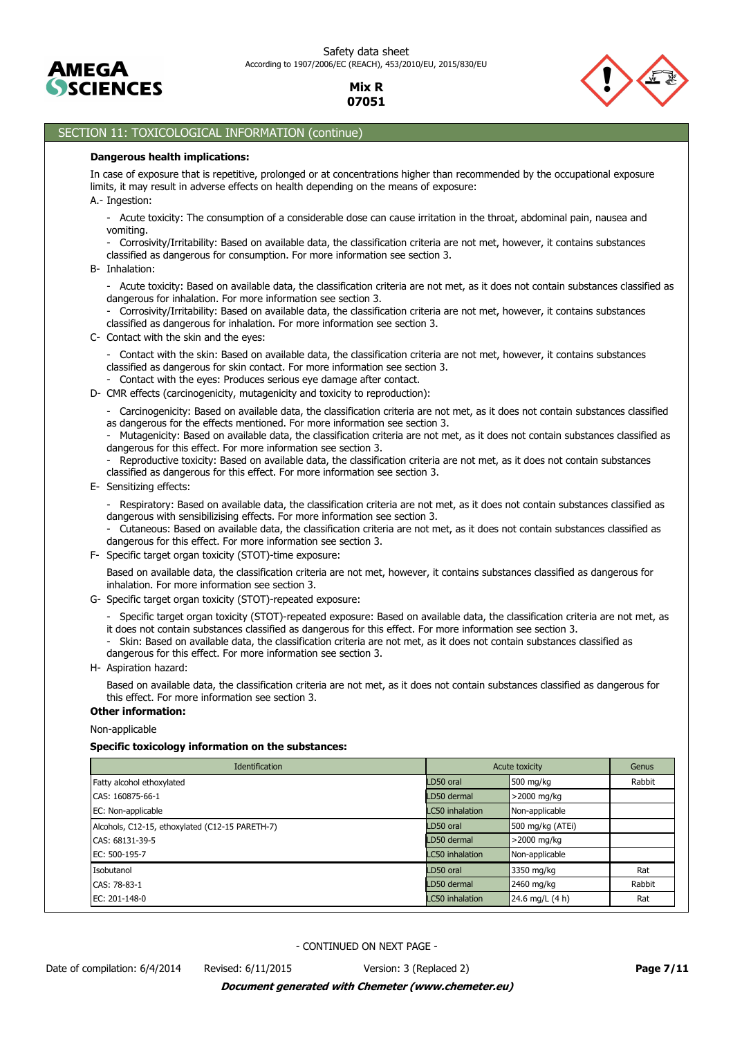



# SECTION 11: TOXICOLOGICAL INFORMATION (continue)

#### **Dangerous health implications:**

In case of exposure that is repetitive, prolonged or at concentrations higher than recommended by the occupational exposure limits, it may result in adverse effects on health depending on the means of exposure:

A.- Ingestion:

- Acute toxicity: The consumption of a considerable dose can cause irritation in the throat, abdominal pain, nausea and vomiting.

- Corrosivity/Irritability: Based on available data, the classification criteria are not met, however, it contains substances classified as dangerous for consumption. For more information see section 3.

B- Inhalation:

- Acute toxicity: Based on available data, the classification criteria are not met, as it does not contain substances classified as dangerous for inhalation. For more information see section 3.

- Corrosivity/Irritability: Based on available data, the classification criteria are not met, however, it contains substances classified as dangerous for inhalation. For more information see section 3.

C- Contact with the skin and the eyes:

- Contact with the skin: Based on available data, the classification criteria are not met, however, it contains substances classified as dangerous for skin contact. For more information see section 3.

- Contact with the eyes: Produces serious eye damage after contact.
- D- CMR effects (carcinogenicity, mutagenicity and toxicity to reproduction):

- Carcinogenicity: Based on available data, the classification criteria are not met, as it does not contain substances classified as dangerous for the effects mentioned. For more information see section 3.

- Mutagenicity: Based on available data, the classification criteria are not met, as it does not contain substances classified as dangerous for this effect. For more information see section 3.

Reproductive toxicity: Based on available data, the classification criteria are not met, as it does not contain substances classified as dangerous for this effect. For more information see section 3.

E- Sensitizing effects:

- Respiratory: Based on available data, the classification criteria are not met, as it does not contain substances classified as dangerous with sensibilizising effects. For more information see section 3.

- Cutaneous: Based on available data, the classification criteria are not met, as it does not contain substances classified as dangerous for this effect. For more information see section 3.

F- Specific target organ toxicity (STOT)-time exposure:

Based on available data, the classification criteria are not met, however, it contains substances classified as dangerous for inhalation. For more information see section 3.

- G- Specific target organ toxicity (STOT)-repeated exposure:
	- Specific target organ toxicity (STOT)-repeated exposure: Based on available data, the classification criteria are not met, as
	- it does not contain substances classified as dangerous for this effect. For more information see section 3.
	- Skin: Based on available data, the classification criteria are not met, as it does not contain substances classified as dangerous for this effect. For more information see section 3.
- H- Aspiration hazard:

Based on available data, the classification criteria are not met, as it does not contain substances classified as dangerous for this effect. For more information see section 3.

# **Other information:**

Non-applicable

#### **Specific toxicology information on the substances:**

| Identification                                  | Acute toxicity         | Genus            |        |
|-------------------------------------------------|------------------------|------------------|--------|
| Fatty alcohol ethoxylated                       | LD50 oral              | 500 mg/kg        | Rabbit |
| CAS: 160875-66-1                                | LD50 dermal            | $>$ 2000 mg/kg   |        |
| EC: Non-applicable                              | <b>LC50</b> inhalation | Non-applicable   |        |
| Alcohols, C12-15, ethoxylated (C12-15 PARETH-7) | LD50 oral              | 500 mg/kg (ATEi) |        |
| CAS: 68131-39-5                                 | LD50 dermal            | $>$ 2000 mg/kg   |        |
| EC: 500-195-7                                   | <b>LC50</b> inhalation | Non-applicable   |        |
| Isobutanol                                      | LD50 oral              | 3350 mg/kg       | Rat    |
| CAS: 78-83-1                                    | LD50 dermal            | 2460 mg/kg       | Rabbit |
| EC: 201-148-0                                   | <b>LC50</b> inhalation | 24.6 mg/L (4 h)  | Rat    |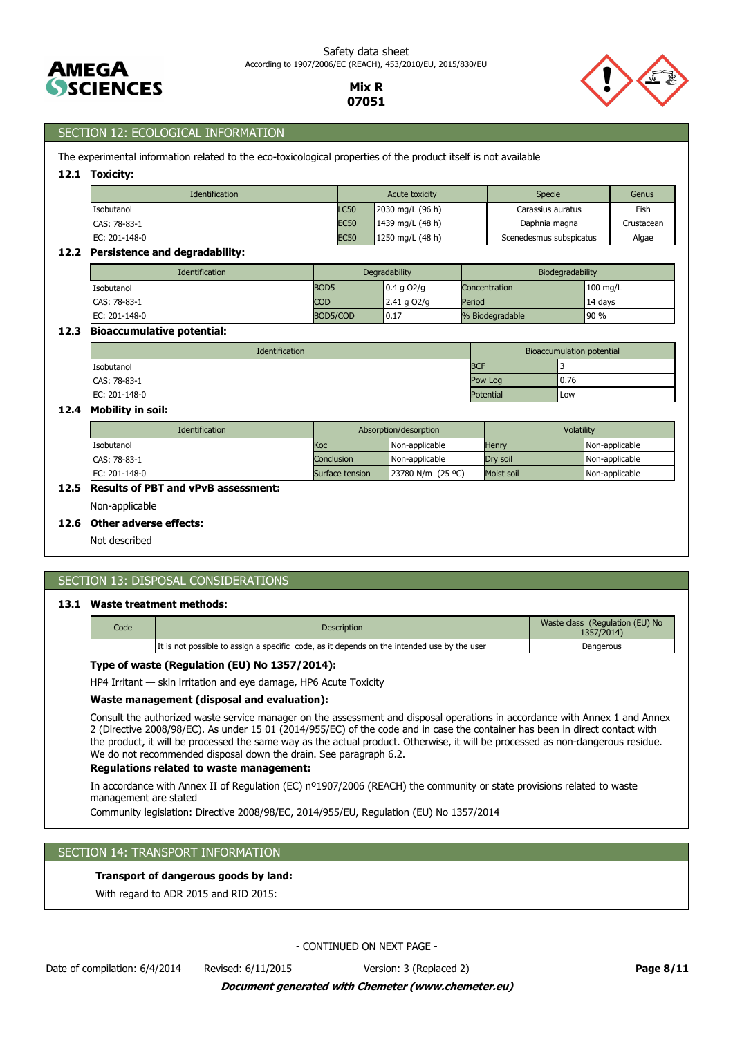



# SECTION 12: ECOLOGICAL INFORMATION

The experimental information related to the eco-toxicological properties of the product itself is not available

## **12.1 Toxicity:**

| <b>Identification</b> | Acute toxicity |                  | Specie                  | Genus      |
|-----------------------|----------------|------------------|-------------------------|------------|
| Isobutanol            | <b>LC50</b>    | 2030 mg/L (96 h) | Carassius auratus       | Fish       |
| CAS: 78-83-1          | <b>EC50</b>    | 1439 mg/L (48 h) | Daphnia magna           | Crustacean |
| EC: 201-148-0         | <b>EC50</b>    | 1250 mg/L (48 h) | Scenedesmus subspicatus | Algae      |

## **12.2 Persistence and degradability:**

| <b>Identification</b> | Degradability    |               | Biodegradability |            |
|-----------------------|------------------|---------------|------------------|------------|
| Isobutanol            | BOD <sub>5</sub> | $0.4$ g O2/g  | Concentration    | $100$ mg/L |
| CAS: 78-83-1          | <b>COD</b>       | $2.41$ g O2/g | Period           | 14 days    |
| EC: 201-148-0         | BOD5/COD         | 0.17          | % Biodegradable  | 90 %       |

## **12.3 Bioaccumulative potential:**

| <b>Identification</b> |  | Bioaccumulation potential |       |  |
|-----------------------|--|---------------------------|-------|--|
| Isobutanol            |  | <b>BCF</b>                |       |  |
| CAS: 78-83-1          |  | Pow Log                   | 0.76  |  |
| EC: 201-148-0         |  | <b>Potential</b>          | i Low |  |

## **12.4 Mobility in soil:**

| <b>Identification</b> | Absorption/desorption |                   | Volatility |                |
|-----------------------|-----------------------|-------------------|------------|----------------|
| Isobutanol            | Koc                   | Non-applicable    | Henry      | Non-applicable |
| CAS: 78-83-1          | Conclusion            | Non-applicable    | Drv soil   | Non-applicable |
| EC: 201-148-0         | Surface tension       | 23780 N/m (25 °C) | Moist soil | Non-applicable |

# **12.5 Results of PBT and vPvB assessment:**

Non-applicable

# **12.6 Other adverse effects:**

Not described

# SECTION 13: DISPOSAL CONSIDERATIONS

#### **13.1 Waste treatment methods:**

| Code | Description                                                                                 | Waste class (Regulation (EU) No<br>1357/2014) |
|------|---------------------------------------------------------------------------------------------|-----------------------------------------------|
|      | It is not possible to assign a specific code, as it depends on the intended use by the user | Dangerous                                     |

#### **Type of waste (Regulation (EU) No 1357/2014):**

HP4 Irritant — skin irritation and eye damage, HP6 Acute Toxicity

#### **Waste management (disposal and evaluation):**

Consult the authorized waste service manager on the assessment and disposal operations in accordance with Annex 1 and Annex 2 (Directive 2008/98/EC). As under 15 01 (2014/955/EC) of the code and in case the container has been in direct contact with the product, it will be processed the same way as the actual product. Otherwise, it will be processed as non-dangerous residue. We do not recommended disposal down the drain. See paragraph 6.2.

## **Regulations related to waste management:**

In accordance with Annex II of Regulation (EC) nº1907/2006 (REACH) the community or state provisions related to waste management are stated

Community legislation: Directive 2008/98/EC, 2014/955/EU, Regulation (EU) No 1357/2014

# SECTION 14: TRANSPORT INFORMATION

## **Transport of dangerous goods by land:**

With regard to ADR 2015 and RID 2015: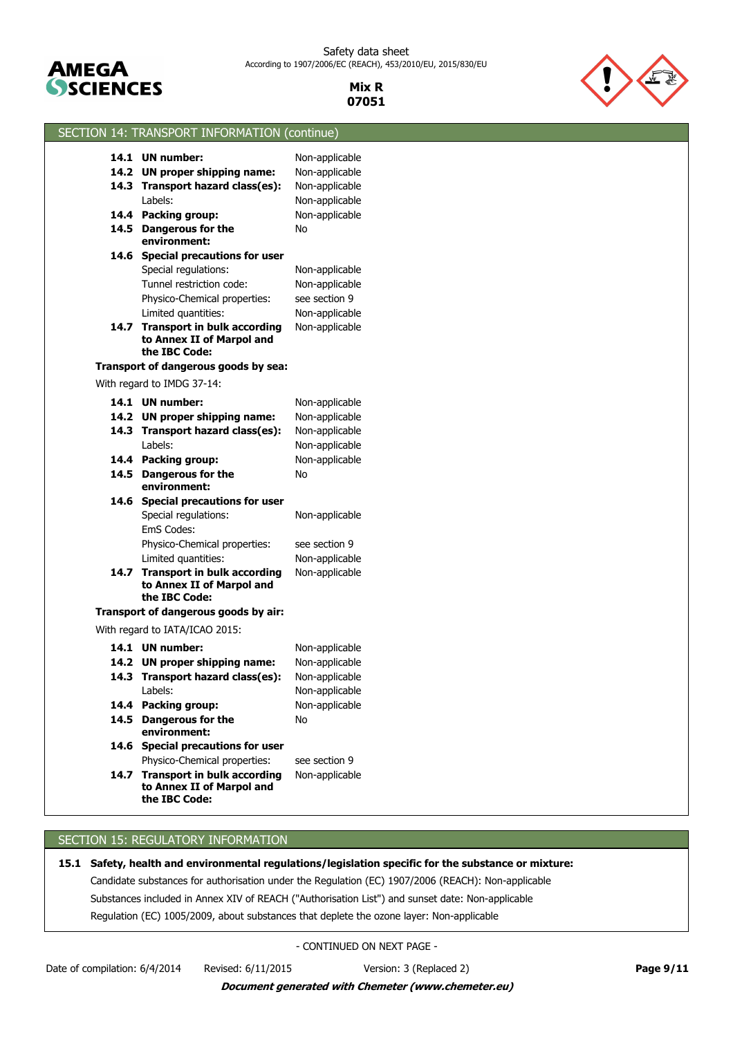

Safety data sheet According to 1907/2006/EC (REACH), 453/2010/EU, 2015/830/EU

> **Mix R 07051**



| SECTION 14: TRANSPORT INFORMATION (continue)                                   |                                  |
|--------------------------------------------------------------------------------|----------------------------------|
| 14.1 UN number:                                                                |                                  |
| 14.2 UN proper shipping name:                                                  | Non-applicable<br>Non-applicable |
| 14.3 Transport hazard class(es):                                               | Non-applicable                   |
| Labels:                                                                        | Non-applicable                   |
| 14.4 Packing group:                                                            | Non-applicable                   |
| 14.5 Dangerous for the                                                         | No                               |
| environment:                                                                   |                                  |
| 14.6 Special precautions for user                                              |                                  |
| Special regulations:                                                           | Non-applicable                   |
| Tunnel restriction code:                                                       | Non-applicable                   |
| Physico-Chemical properties:                                                   | see section 9                    |
| Limited quantities:                                                            | Non-applicable                   |
| 14.7 Transport in bulk according<br>to Annex II of Marpol and<br>the IBC Code: | Non-applicable                   |
| Transport of dangerous goods by sea:                                           |                                  |
| With regard to IMDG 37-14:                                                     |                                  |
| 14.1 UN number:                                                                | Non-applicable                   |
| 14.2 UN proper shipping name:                                                  | Non-applicable                   |
| 14.3 Transport hazard class(es):                                               | Non-applicable                   |
| Labels:                                                                        | Non-applicable                   |
| 14.4 Packing group:                                                            | Non-applicable                   |
| 14.5 Dangerous for the<br>environment:                                         | No                               |
| 14.6 Special precautions for user                                              |                                  |
| Special regulations:                                                           | Non-applicable                   |
| EmS Codes:                                                                     |                                  |
| Physico-Chemical properties:                                                   | see section 9                    |
| Limited quantities:                                                            | Non-applicable                   |
| 14.7 Transport in bulk according<br>to Annex II of Marpol and<br>the IBC Code: | Non-applicable                   |
| Transport of dangerous goods by air:                                           |                                  |
| With regard to IATA/ICAO 2015:                                                 |                                  |
| 14.1 UN number:                                                                | Non-applicable                   |
| 14.2 UN proper shipping name:                                                  | Non-applicable                   |
| 14.3 Transport hazard class(es):                                               | Non-applicable                   |
| Labels:                                                                        | Non-applicable                   |
| 14.4 Packing group:                                                            | Non-applicable                   |
| 14.5 Dangerous for the<br>environment:                                         | No                               |
| 14.6 Special precautions for user                                              |                                  |
| Physico-Chemical properties:                                                   | see section 9                    |
| 14.7 Transport in bulk according<br>to Annex II of Marpol and<br>the IBC Code: | Non-applicable                   |
|                                                                                |                                  |

# SECTION 15: REGULATORY INFORMATION

**15.1 Safety, health and environmental regulations/legislation specific for the substance or mixture:**

Candidate substances for authorisation under the Regulation (EC) 1907/2006 (REACH): Non-applicable

Substances included in Annex XIV of REACH ("Authorisation List") and sunset date: Non-applicable

Regulation (EC) 1005/2009, about substances that deplete the ozone layer: Non-applicable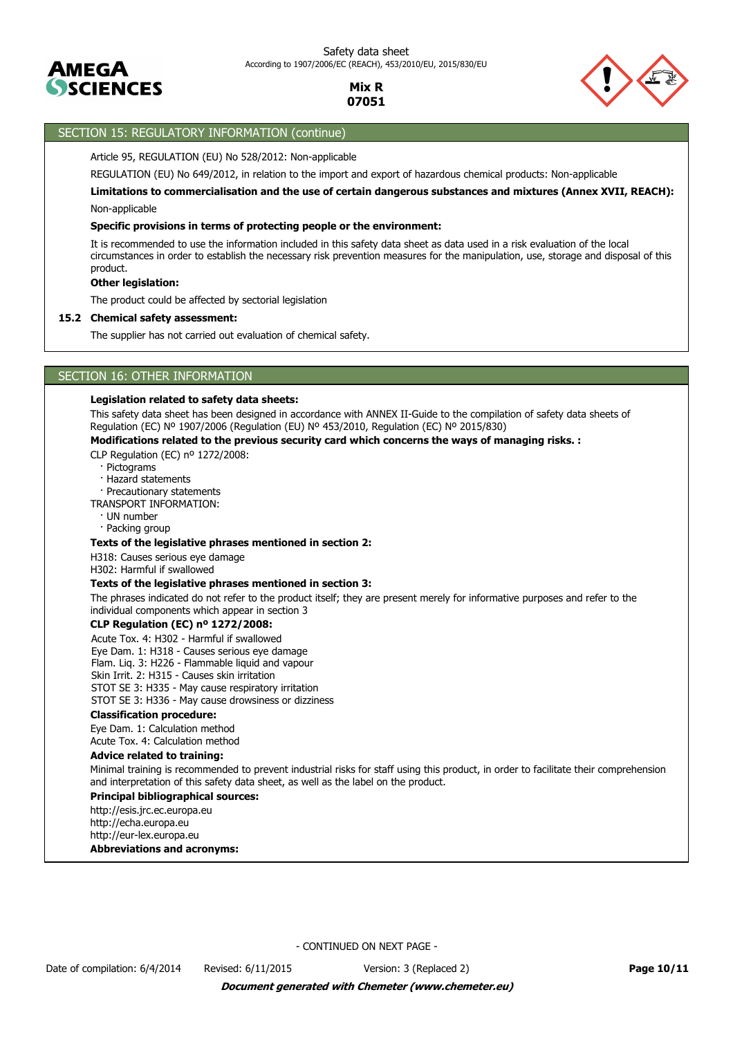



# SECTION 15: REGULATORY INFORMATION (continue)

Article 95, REGULATION (EU) No 528/2012: Non-applicable

REGULATION (EU) No 649/2012, in relation to the import and export of hazardous chemical products: Non-applicable

Non-applicable **Limitations to commercialisation and the use of certain dangerous substances and mixtures (Annex XVII, REACH):**

## **Specific provisions in terms of protecting people or the environment:**

It is recommended to use the information included in this safety data sheet as data used in a risk evaluation of the local circumstances in order to establish the necessary risk prevention measures for the manipulation, use, storage and disposal of this product.

## **Other legislation:**

The product could be affected by sectorial legislation

#### **15.2 Chemical safety assessment:**

The supplier has not carried out evaluation of chemical safety.

# SECTION 16: OTHER INFORMATION

#### **Legislation related to safety data sheets:**

This safety data sheet has been designed in accordance with ANNEX II-Guide to the compilation of safety data sheets of Regulation (EC) Nº 1907/2006 (Regulation (EU) Nº 453/2010, Regulation (EC) Nº 2015/830)

## **Modifications related to the previous security card which concerns the ways of managing risks. :**

CLP Regulation (EC) nº 1272/2008:

- · Pictograms
- · Hazard statements

· Precautionary statements

TRANSPORT INFORMATION:

- · UN number
- · Packing group

#### **Texts of the legislative phrases mentioned in section 2:**

H318: Causes serious eye damage

H302: Harmful if swallowed

#### **Texts of the legislative phrases mentioned in section 3:**

The phrases indicated do not refer to the product itself; they are present merely for informative purposes and refer to the individual components which appear in section 3

#### **CLP Regulation (EC) nº 1272/2008:**

Acute Tox. 4: H302 - Harmful if swallowed

Eye Dam. 1: H318 - Causes serious eye damage

Flam. Liq. 3: H226 - Flammable liquid and vapour

Skin Irrit. 2: H315 - Causes skin irritation

STOT SE 3: H335 - May cause respiratory irritation

STOT SE 3: H336 - May cause drowsiness or dizziness

#### **Classification procedure:**

Eye Dam. 1: Calculation method

Acute Tox. 4: Calculation method

# **Advice related to training:**

Minimal training is recommended to prevent industrial risks for staff using this product, in order to facilitate their comprehension and interpretation of this safety data sheet, as well as the label on the product.

#### **Principal bibliographical sources:**

http://esis.jrc.ec.europa.eu http://echa.europa.eu http://eur-lex.europa.eu

**Abbreviations and acronyms:**